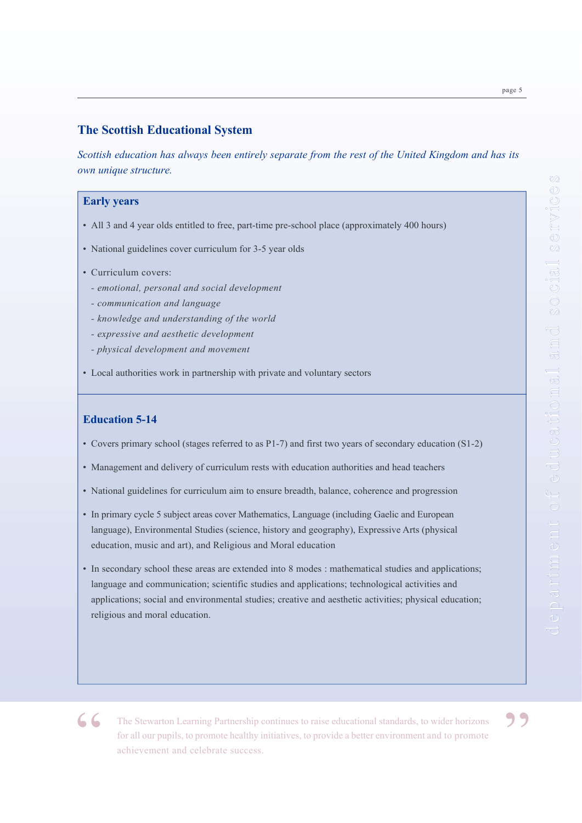*Scottish education has always been entirely separate from the rest of the United Kingdom and has its own unique structure.*

### **Early years**

- All 3 and 4 year olds entitled to free, part-time pre-school place (approximately 400 hours)
- National guidelines cover curriculum for 3-5 year olds
- Curriculum covers:
	- *emotional, personal and social development*
	- *communication and language*
	- *knowledge and understanding of the world*
	- *expressive and aesthetic development*
	- *physical development and movement*
- Local authorities work in partnership with private and voluntary sectors

# **Education 5-14**

- Covers primary school (stages referred to as P1-7) and first two years of secondary education (S1-2)
- Management and delivery of curriculum rests with education authorities and head teachers
- National guidelines for curriculum aim to ensure breadth, balance, coherence and progression
- In primary cycle 5 subject areas cover Mathematics, Language (including Gaelic and European language), Environmental Studies (science, history and geography), Expressive Arts (physical education, music and art), and Religious and Moral education
- In secondary school these areas are extended into 8 modes : mathematical studies and applications; language and communication; scientific studies and applications; technological activities and applications; social and environmental studies; creative and aesthetic activities; physical education; religious and moral education.

page 5

**4. Chi** The Stewarton Learning Partnership continues to raise educational standards, to wider horizons for all our pupils, to promote healthy initiatives, to provide a better environment and to promote achievement and celebrate success.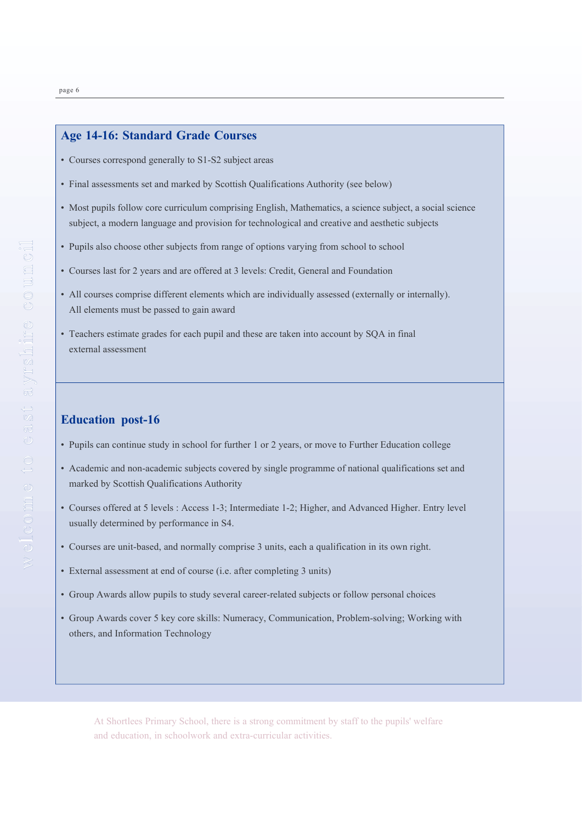# **Age 14-16: Standard Grade Courses**

- Courses correspond generally to S1-S2 subject areas
- Final assessments set and marked by Scottish Qualifications Authority (see below)
- Most pupils follow core curriculum comprising English, Mathematics, a science subject, a social science subject, a modern language and provision for technological and creative and aesthetic subjects
- Pupils also choose other subjects from range of options varying from school to school
- Courses last for 2 years and are offered at 3 levels: Credit, General and Foundation
- All courses comprise different elements which are individually assessed (externally or internally). All elements must be passed to gain award
- Teachers estimate grades for each pupil and these are taken into account by SQA in final external assessment

#### **Education post-16**

- Pupils can continue study in school for further 1 or 2 years, or move to Further Education college
- Academic and non-academic subjects covered by single programme of national qualifications set and marked by Scottish Qualifications Authority
- Courses offered at 5 levels : Access 1-3; Intermediate 1-2; Higher, and Advanced Higher. Entry level usually determined by performance in S4.
- Courses are unit-based, and normally comprise 3 units, each a qualification in its own right.
- External assessment at end of course (i.e. after completing 3 units)
- Group Awards allow pupils to study several career-related subjects or follow personal choices
- Group Awards cover 5 key core skills: Numeracy, Communication, Problem-solving; Working with others, and Information Technology

At Shortlees Primary School, there is a strong commitment by staff to the pupils' welfare and education, in schoolwork and extra-curricular activities.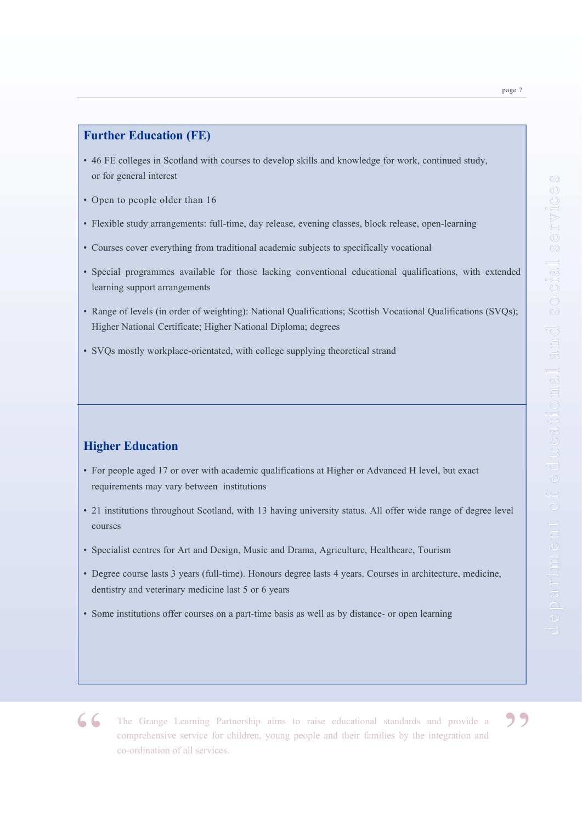### **Further Education (FE)**

- 46 FE colleges in Scotland with courses to develop skills and knowledge for work, continued study, or for general interest
- Open to people older than 16
- Flexible study arrangements: full-time, day release, evening classes, block release, open-learning
- Courses cover everything from traditional academic subjects to specifically vocational
- Special programmes available for those lacking conventional educational qualifications, with extended learning support arrangements
- Range of levels (in order of weighting): National Qualifications; Scottish Vocational Qualifications (SVQs); Higher National Certificate; Higher National Diploma; degrees
- SVQs mostly workplace-orientated, with college supplying theoretical strand

# **Higher Education**

- For people aged 17 or over with academic qualifications at Higher or Advanced H level, but exact requirements may vary between institutions
- 21 institutions throughout Scotland, with 13 having university status. All offer wide range of degree level courses
- Specialist centres for Art and Design, Music and Drama, Agriculture, Healthcare, Tourism
- Degree course lasts 3 years (full-time). Honours degree lasts 4 years. Courses in architecture, medicine, dentistry and veterinary medicine last 5 or 6 years
- Some institutions offer courses on a part-time basis as well as by distance- or open learning